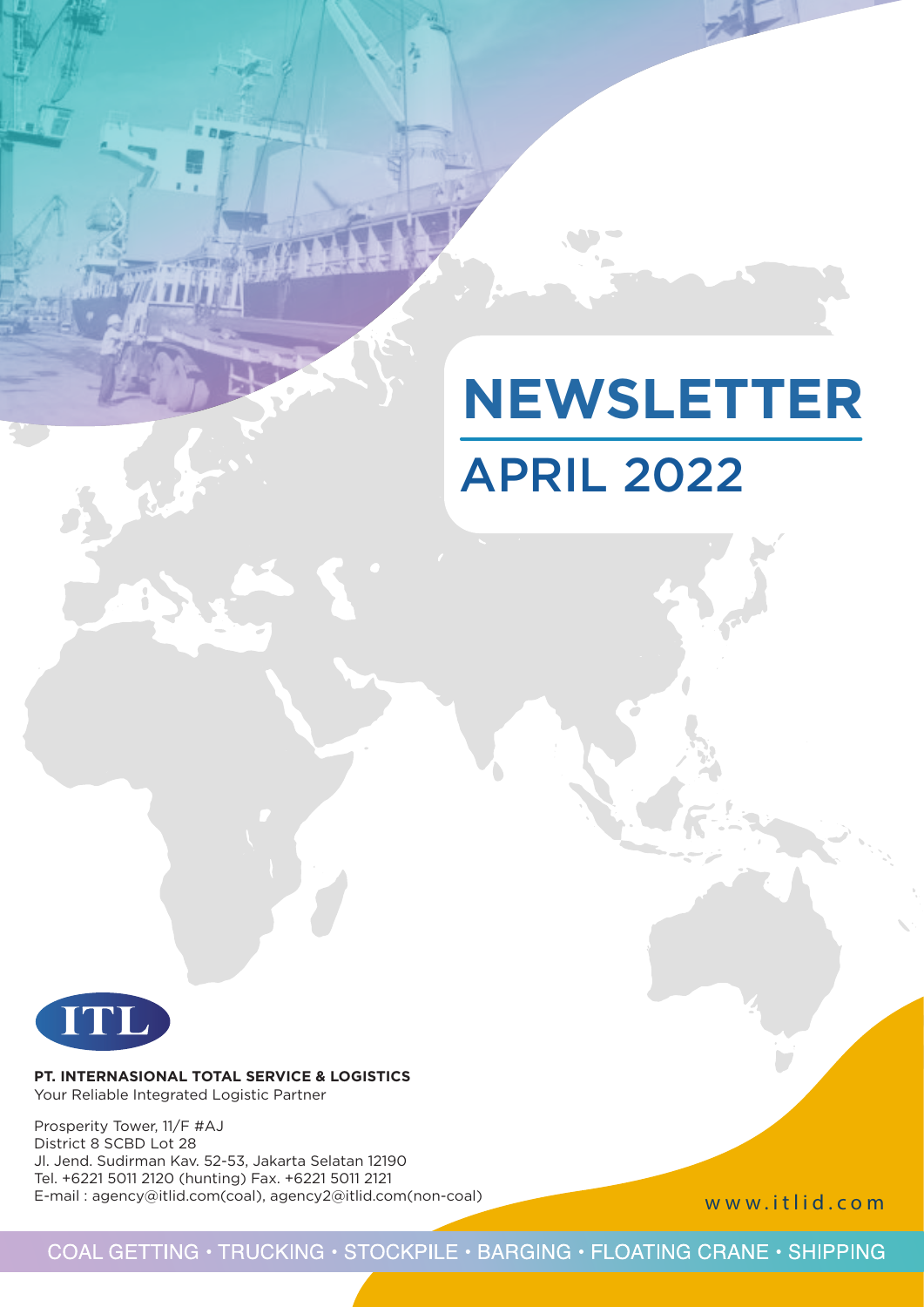# APRIL 2022 **NEWSLETTER**



**PT. INTERNASIONAL TOTAL SERVICE & LOGISTICS** Your Reliable Integrated Logistic Partner

Prosperity Tower, 11/F #AJ District 8 SCBD Lot 28 Jl. Jend. Sudirman Kav. 52-53, Jakarta Selatan 12190 Tel. +6221 5011 2120 (hunting) Fax. +6221 5011 2121 E-mail : agency@itlid.com(coal), agency2@itlid.com(non-coal)

www.itlid.com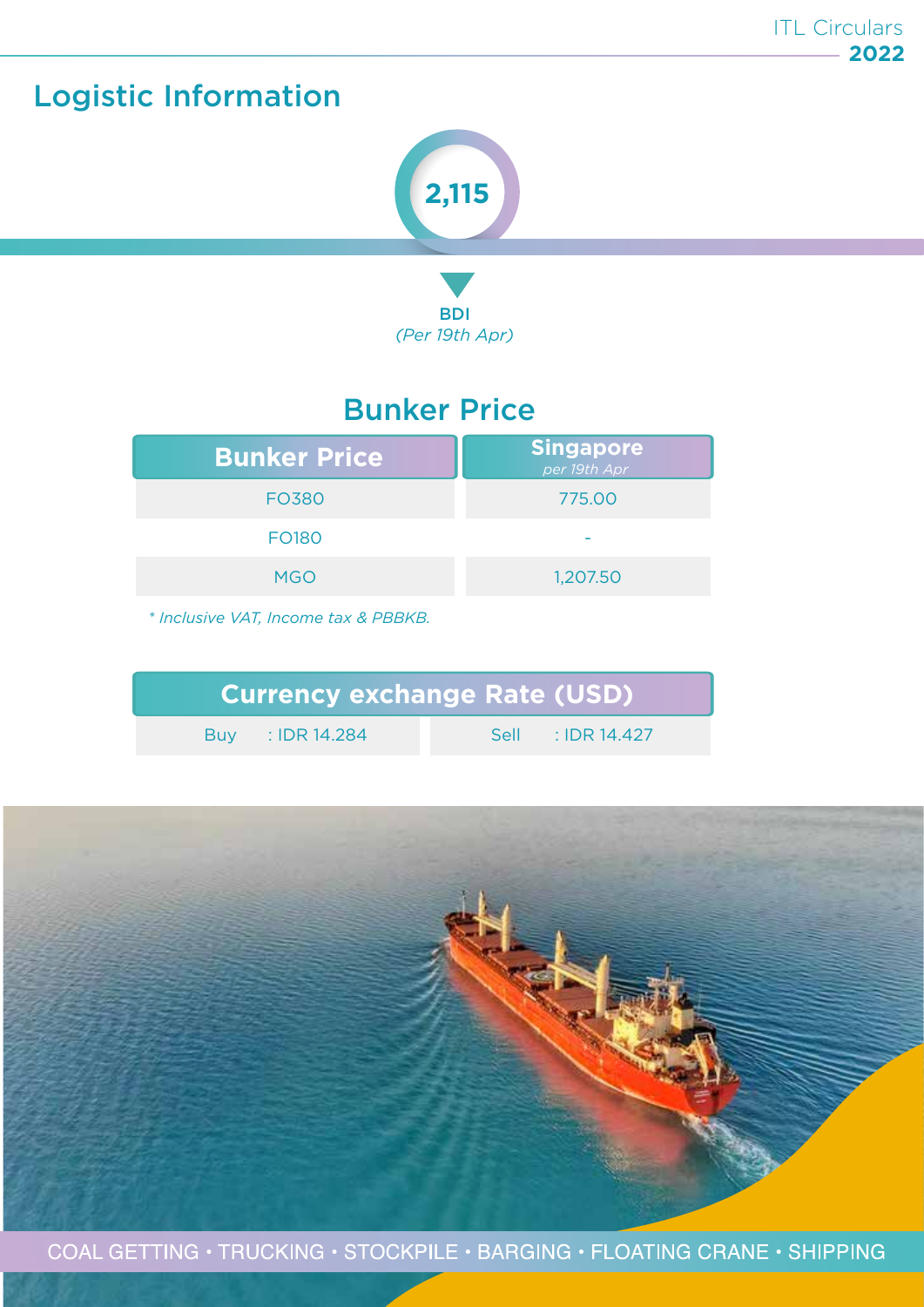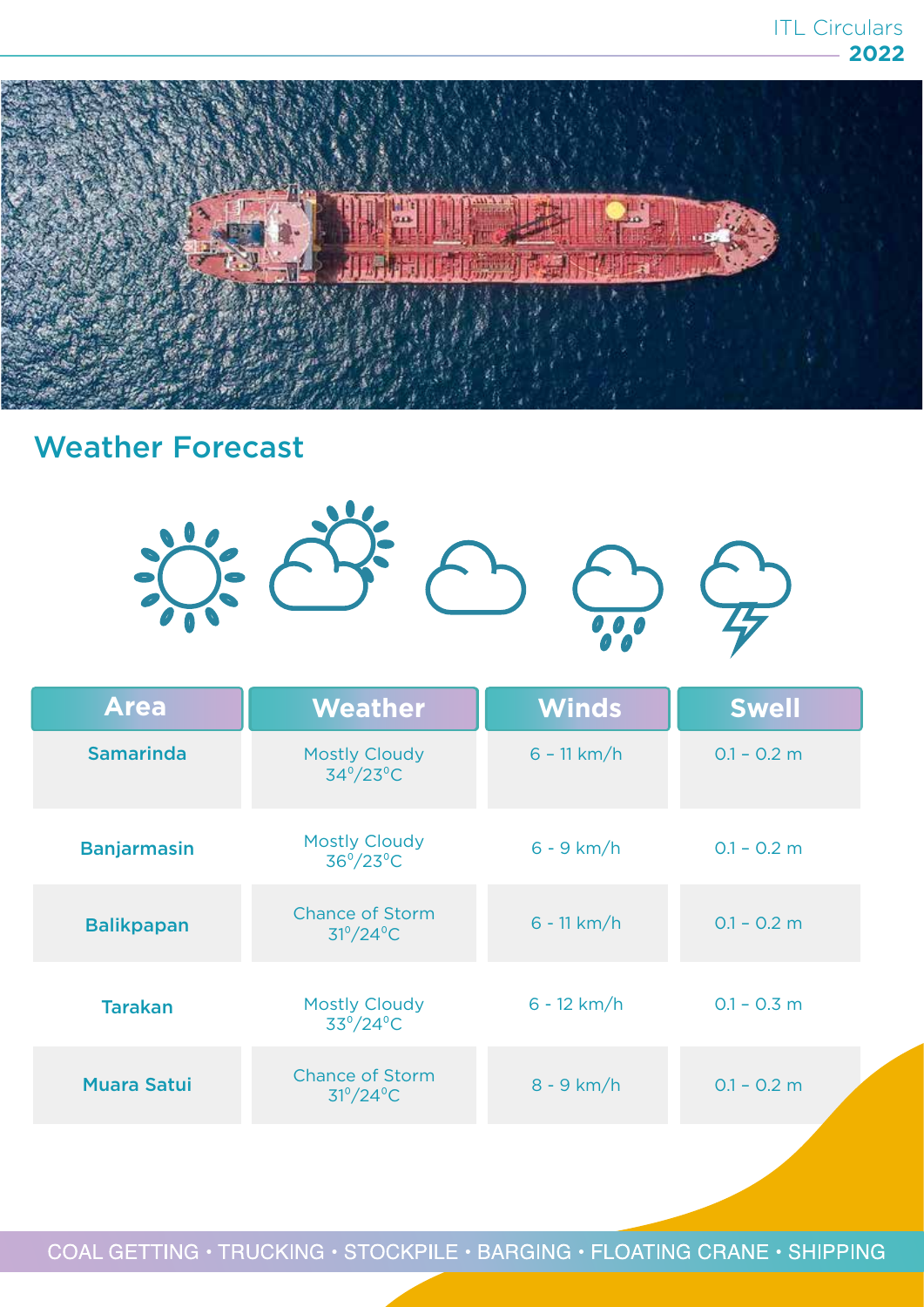

### Weather Forecast



| <b>Area</b>        | <b>Weather</b>                                      | <b>Winds</b>  | <b>Swell</b>  |
|--------------------|-----------------------------------------------------|---------------|---------------|
| <b>Samarinda</b>   | <b>Mostly Cloudy</b><br>$34^{\circ}/23^{\circ}$ C   | $6 - 11 km/h$ | $0.1 - 0.2$ m |
| <b>Banjarmasin</b> | <b>Mostly Cloudy</b><br>$36^{\circ}/23^{\circ}$ C   | $6 - 9$ km/h  | $0.1 - 0.2$ m |
| <b>Balikpapan</b>  | <b>Chance of Storm</b><br>$31^{\circ}/24^{\circ}$ C | $6 - 11 km/h$ | $0.1 - 0.2$ m |
| <b>Tarakan</b>     | <b>Mostly Cloudy</b><br>$33^{\circ}/24^{\circ}$ C   |               | $0.1 - 0.3$ m |
| <b>Muara Satui</b> | <b>Chance of Storm</b><br>$31^{\circ}/24^{\circ}$ C | $8 - 9$ km/h  | $0.1 - 0.2$ m |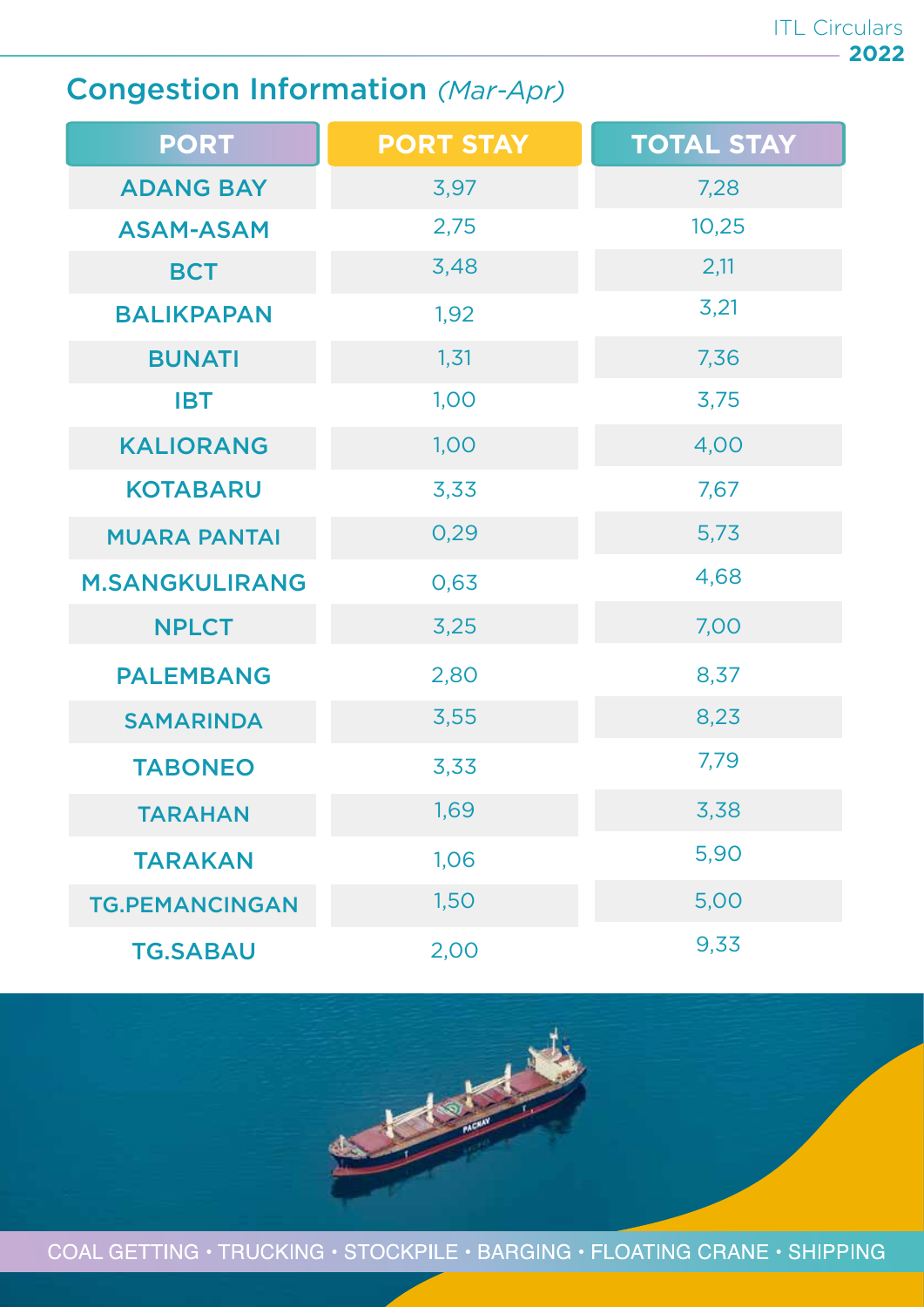### Congestion Information *(Mar-Apr)*

| <b>PORT</b>           | <b>PORT STAY</b> | <b>TOTAL STAY</b> |
|-----------------------|------------------|-------------------|
| <b>ADANG BAY</b>      | 3,97             | 7,28              |
| <b>ASAM-ASAM</b>      | 2,75             | 10,25             |
| <b>BCT</b>            | 3,48             | 2,11              |
| <b>BALIKPAPAN</b>     | 1,92             | 3,21              |
| <b>BUNATI</b>         | 1,31             | 7,36              |
| <b>IBT</b>            | 1,00             | 3,75              |
| <b>KALIORANG</b>      | 1,00             | 4,00              |
| <b>KOTABARU</b>       | 3,33             | 7,67              |
| <b>MUARA PANTAI</b>   | 0,29             | 5,73              |
| <b>M.SANGKULIRANG</b> | 0,63             | 4,68              |
| <b>NPLCT</b>          | 3,25             | 7,00              |
| <b>PALEMBANG</b>      | 2,80             | 8,37              |
| <b>SAMARINDA</b>      | 3,55             | 8,23              |
| <b>TABONEO</b>        | 3,33             | 7,79              |
| <b>TARAHAN</b>        | 1,69             | 3,38              |
| <b>TARAKAN</b>        | 1,06             | 5,90              |
| <b>TG.PEMANCINGAN</b> | 1,50             | 5,00              |
| <b>TG.SABAU</b>       | 2,00             | 9,33              |

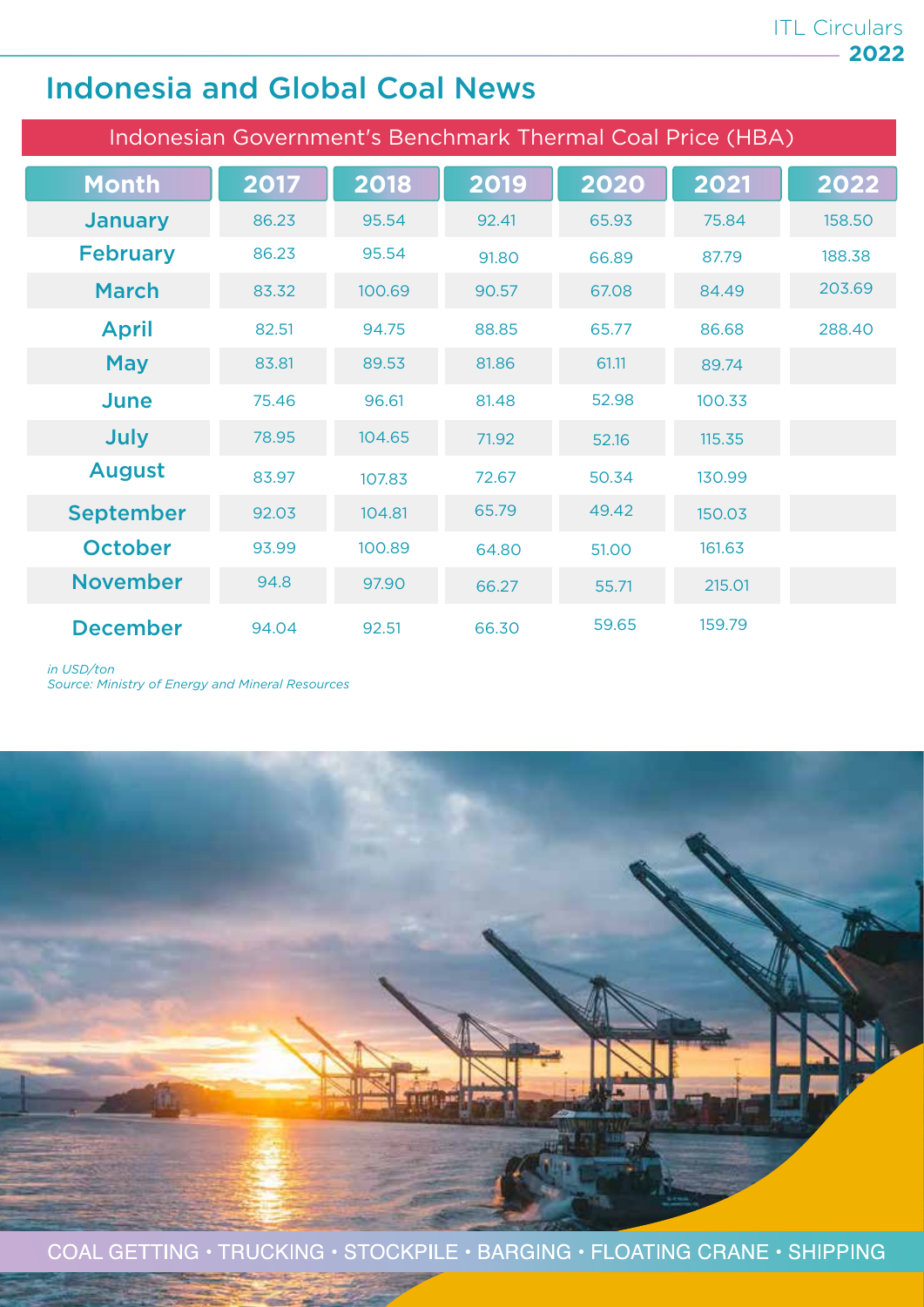### Indonesia and Global Coal News

| Indonesian Government's Benchmark Thermal Coal Price (HBA) |       |        |       |       |        |        |
|------------------------------------------------------------|-------|--------|-------|-------|--------|--------|
| <b>Month</b>                                               | 2017  | 2018   | 2019  | 2020  | 2021   | 2022   |
| <b>January</b>                                             | 86.23 | 95.54  | 92.41 | 65.93 | 75.84  | 158.50 |
| <b>February</b>                                            | 86.23 | 95.54  | 91.80 | 66.89 | 87.79  | 188.38 |
| <b>March</b>                                               | 83.32 | 100.69 | 90.57 | 67.08 | 84.49  | 203.69 |
| <b>April</b>                                               | 82.51 | 94.75  | 88.85 | 65.77 | 86.68  | 288,40 |
| <b>May</b>                                                 | 83.81 | 89.53  | 81.86 | 61.11 | 89.74  |        |
| June                                                       | 75.46 | 96.61  | 81.48 | 52.98 | 100.33 |        |
| July                                                       | 78.95 | 104.65 | 71.92 | 52.16 | 115.35 |        |
| <b>August</b>                                              | 83.97 | 107.83 | 72.67 | 50.34 | 130.99 |        |
| <b>September</b>                                           | 92.03 | 104.81 | 65.79 | 49.42 | 150.03 |        |
| <b>October</b>                                             | 93.99 | 100.89 | 64.80 | 51.00 | 161.63 |        |
| <b>November</b>                                            | 94.8  | 97.90  | 66.27 | 55.71 | 215.01 |        |
| <b>December</b>                                            | 94.04 | 92.51  | 66.30 | 59.65 | 159.79 |        |

*in USD/ton*

*Source: Ministry of Energy and Mineral Resources*

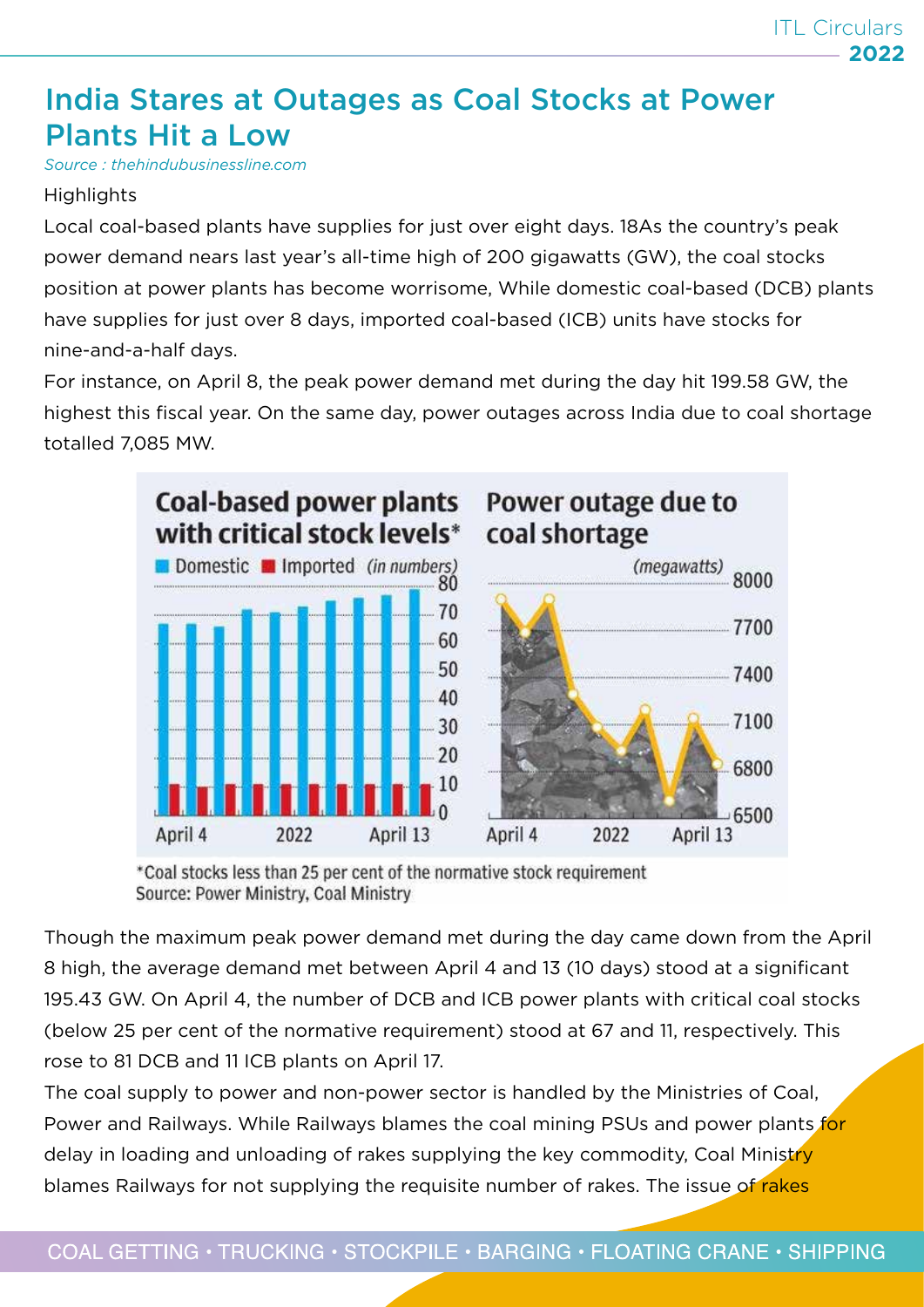### India Stares at Outages as Coal Stocks at Power Plants Hit a Low

*Source : thehindubusinessline.com*

#### **Highlights**

Local coal-based plants have supplies for just over eight days. 18As the country's peak power demand nears last year's all-time high of 200 gigawatts (GW), the coal stocks position at power plants has become worrisome, While domestic coal-based (DCB) plants have supplies for just over 8 days, imported coal-based (ICB) units have stocks for nine-and-a-half days.

For instance, on April 8, the peak power demand met during the day hit 199.58 GW, the highest this fiscal year. On the same day, power outages across India due to coal shortage totalled 7,085 MW.



<sup>\*</sup>Coal stocks less than 25 per cent of the normative stock requirement Source: Power Ministry, Coal Ministry

Though the maximum peak power demand met during the day came down from the April 8 high, the average demand met between April 4 and 13 (10 days) stood at a significant 195.43 GW. On April 4, the number of DCB and ICB power plants with critical coal stocks (below 25 per cent of the normative requirement) stood at 67 and 11, respectively. This rose to 81 DCB and 11 ICB plants on April 17.

The coal supply to power and non-power sector is handled by the Ministries of Coal, Power and Railways. While Railways blames the coal mining PSUs and power plants for delay in loading and unloading of rakes supplying the key commodity, Coal Ministry blames Railways for not supplying the requisite number of rakes. The issue of rakes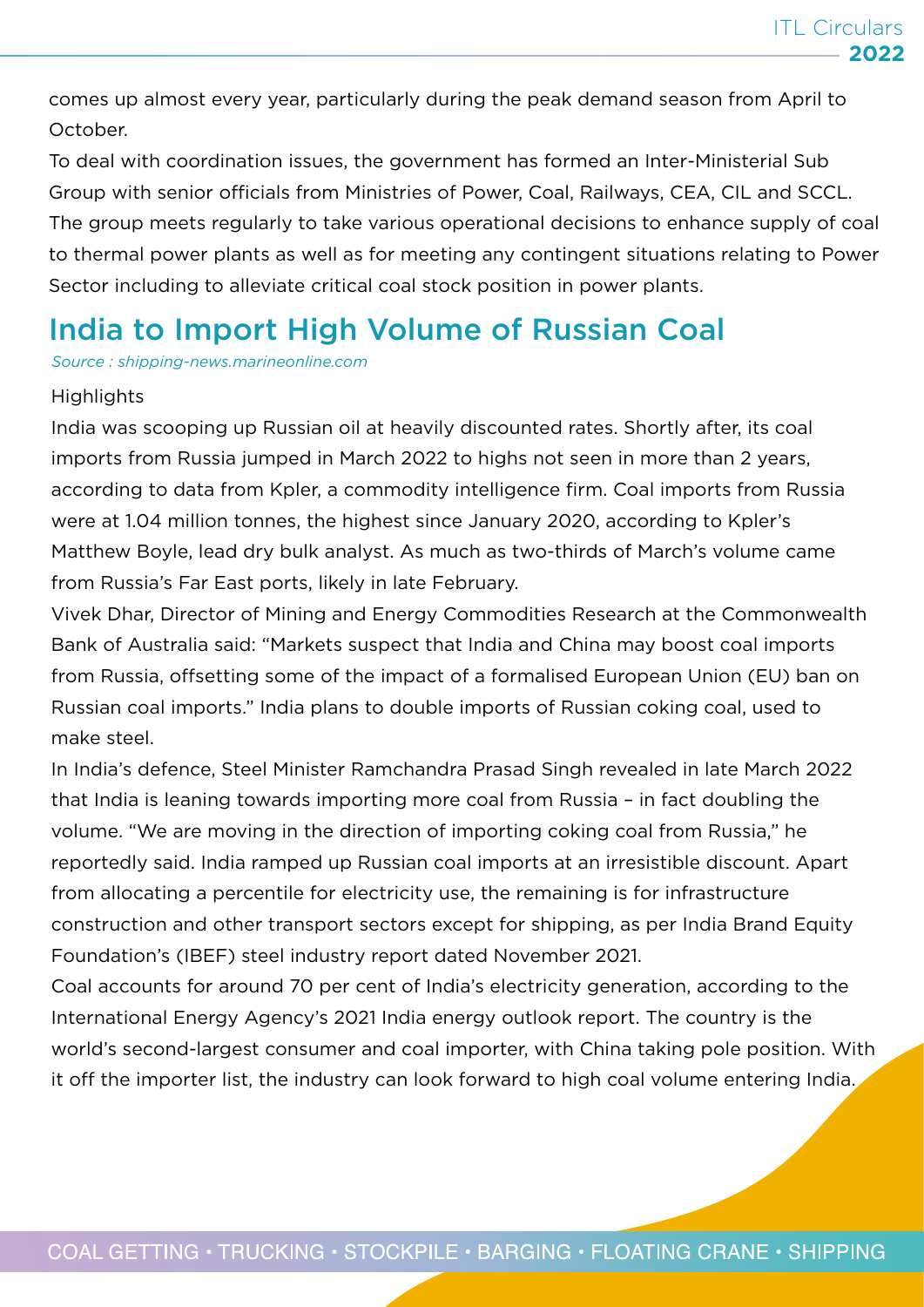comes up almost every year, particularly during the peak demand season from April to October.

To deal with coordination issues, the government has formed an Inter-Ministerial Sub Group with senior officials from Ministries of Power, Coal, Railways, CEA, CIL and SCCL. The group meets regularly to take various operational decisions to enhance supply of coal to thermal power plants as well as for meeting any contingent situations relating to Power Sector including to alleviate critical coal stock position in power plants.

### India to Import High Volume of Russian Coal

*Source : shipping-news.marineonline.com*

#### **Highlights**

India was scooping up Russian oil at heavily discounted rates. Shortly after, its coal imports from Russia jumped in March 2022 to highs not seen in more than 2 years, according to data from Kpler, a commodity intelligence firm. Coal imports from Russia were at 1.04 million tonnes, the highest since January 2020, according to Kpler's Matthew Boyle, lead dry bulk analyst. As much as two-thirds of March's volume came from Russia's Far East ports, likely in late February.

Vivek Dhar, Director of Mining and Energy Commodities Research at the Commonwealth Bank of Australia said: "Markets suspect that India and China may boost coal imports from Russia, offsetting some of the impact of a formalised European Union (EU) ban on Russian coal imports." India plans to double imports of Russian coking coal, used to make steel.

In India's defence, Steel Minister Ramchandra Prasad Singh revealed in late March 2022 that India is leaning towards importing more coal from Russia – in fact doubling the volume. "We are moving in the direction of importing coking coal from Russia," he reportedly said. India ramped up Russian coal imports at an irresistible discount. Apart from allocating a percentile for electricity use, the remaining is for infrastructure construction and other transport sectors except for shipping, as per India Brand Equity Foundation's (IBEF) steel industry report dated November 2021.

Coal accounts for around 70 per cent of India's electricity generation, according to the International Energy Agency's 2021 India energy outlook report. The country is the world's second-largest consumer and coal importer, with China taking pole position. With it off the importer list, the industry can look forward to high coal volume entering India.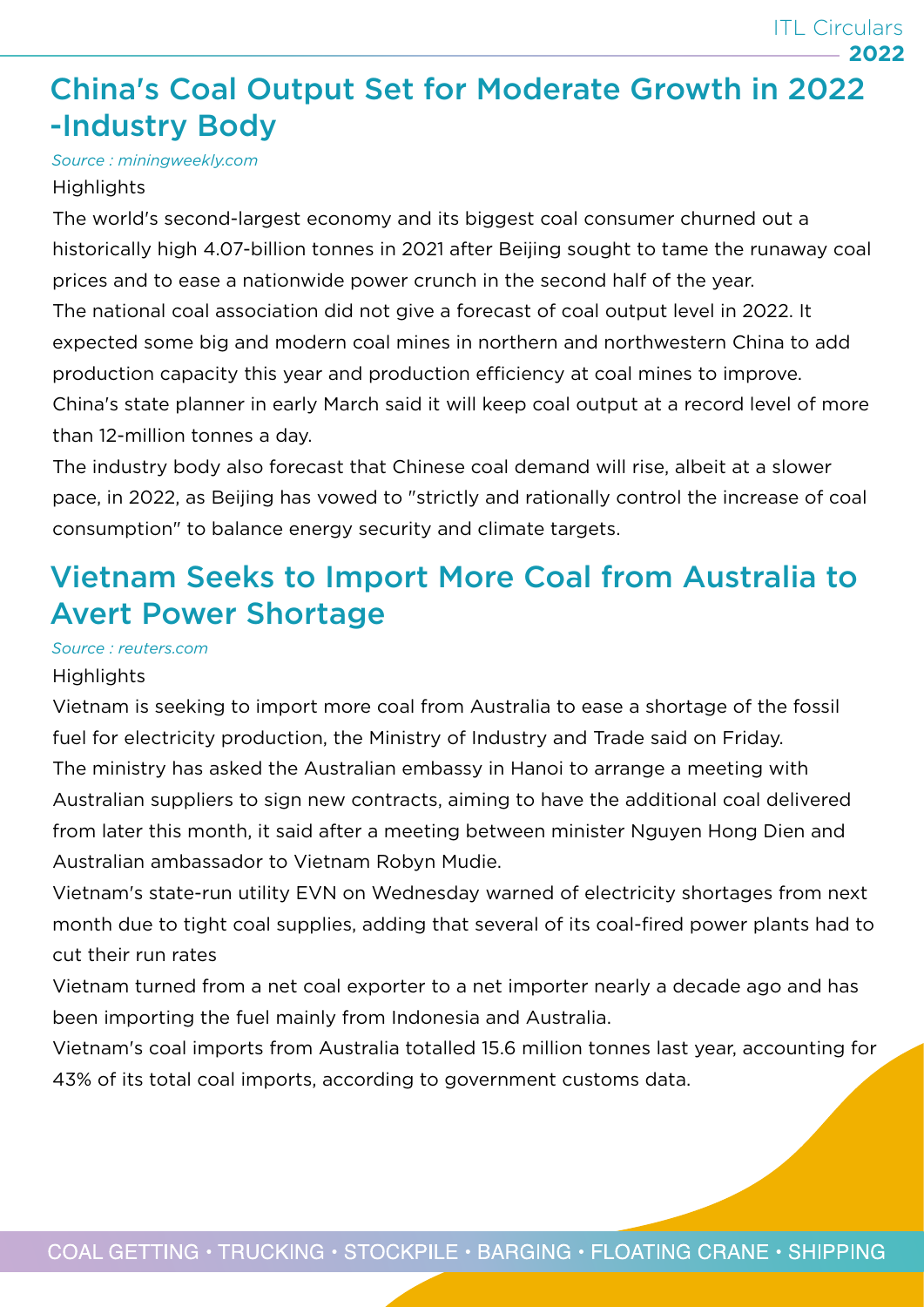### China's Coal Output Set for Moderate Growth in 2022 -Industry Body

*Source : miningweekly.com*

#### **Highlights**

The world's second-largest economy and its biggest coal consumer churned out a historically high 4.07-billion tonnes in 2021 after Beijing sought to tame the runaway coal prices and to ease a nationwide power crunch in the second half of the year. The national coal association did not give a forecast of coal output level in 2022. It expected some big and modern coal mines in northern and northwestern China to add production capacity this year and production efficiency at coal mines to improve. China's state planner in early March said it will keep coal output at a record level of more than 12-million tonnes a day.

The industry body also forecast that Chinese coal demand will rise, albeit at a slower pace, in 2022, as Beijing has vowed to "strictly and rationally control the increase of coal consumption" to balance energy security and climate targets.

### Vietnam Seeks to Import More Coal from Australia to Avert Power Shortage

#### *Source : reuters.com*

#### **Highlights**

Vietnam is seeking to import more coal from Australia to ease a shortage of the fossil fuel for electricity production, the Ministry of Industry and Trade said on Friday. The ministry has asked the Australian embassy in Hanoi to arrange a meeting with Australian suppliers to sign new contracts, aiming to have the additional coal delivered from later this month, it said after a meeting between minister Nguyen Hong Dien and Australian ambassador to Vietnam Robyn Mudie.

Vietnam's state-run utility EVN on Wednesday warned of electricity shortages from next month due to tight coal supplies, adding that several of its coal-fired power plants had to cut their run rates

Vietnam turned from a net coal exporter to a net importer nearly a decade ago and has been importing the fuel mainly from Indonesia and Australia.

Vietnam's coal imports from Australia totalled 15.6 million tonnes last year, accounting for 43% of its total coal imports, according to government customs data.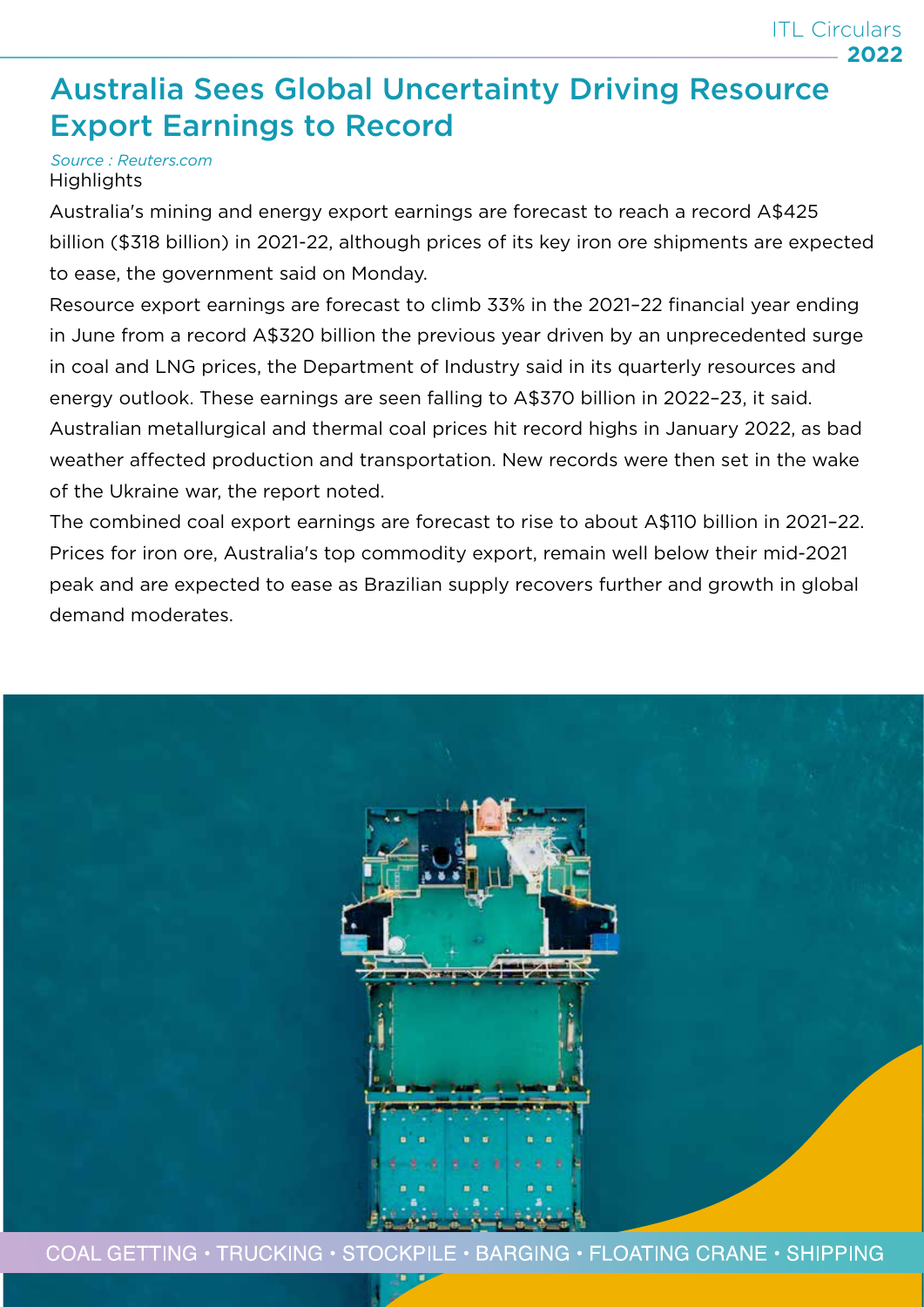### Australia Sees Global Uncertainty Driving Resource Export Earnings to Record

#### *Source : Reuters.com* **Highlights**

Australia's mining and energy export earnings are forecast to reach a record A\$425 billion (\$318 billion) in 2021-22, although prices of its key iron ore shipments are expected to ease, the government said on Monday.

Resource export earnings are forecast to climb 33% in the 2021–22 financial year ending in June from a record A\$320 billion the previous year driven by an unprecedented surge in coal and LNG prices, the Department of Industry said in its quarterly resources and energy outlook. These earnings are seen falling to A\$370 billion in 2022–23, it said. Australian metallurgical and thermal coal prices hit record highs in January 2022, as bad weather affected production and transportation. New records were then set in the wake of the Ukraine war, the report noted.

The combined coal export earnings are forecast to rise to about A\$110 billion in 2021–22. Prices for iron ore, Australia's top commodity export, remain well below their mid-2021 peak and are expected to ease as Brazilian supply recovers further and growth in global demand moderates.

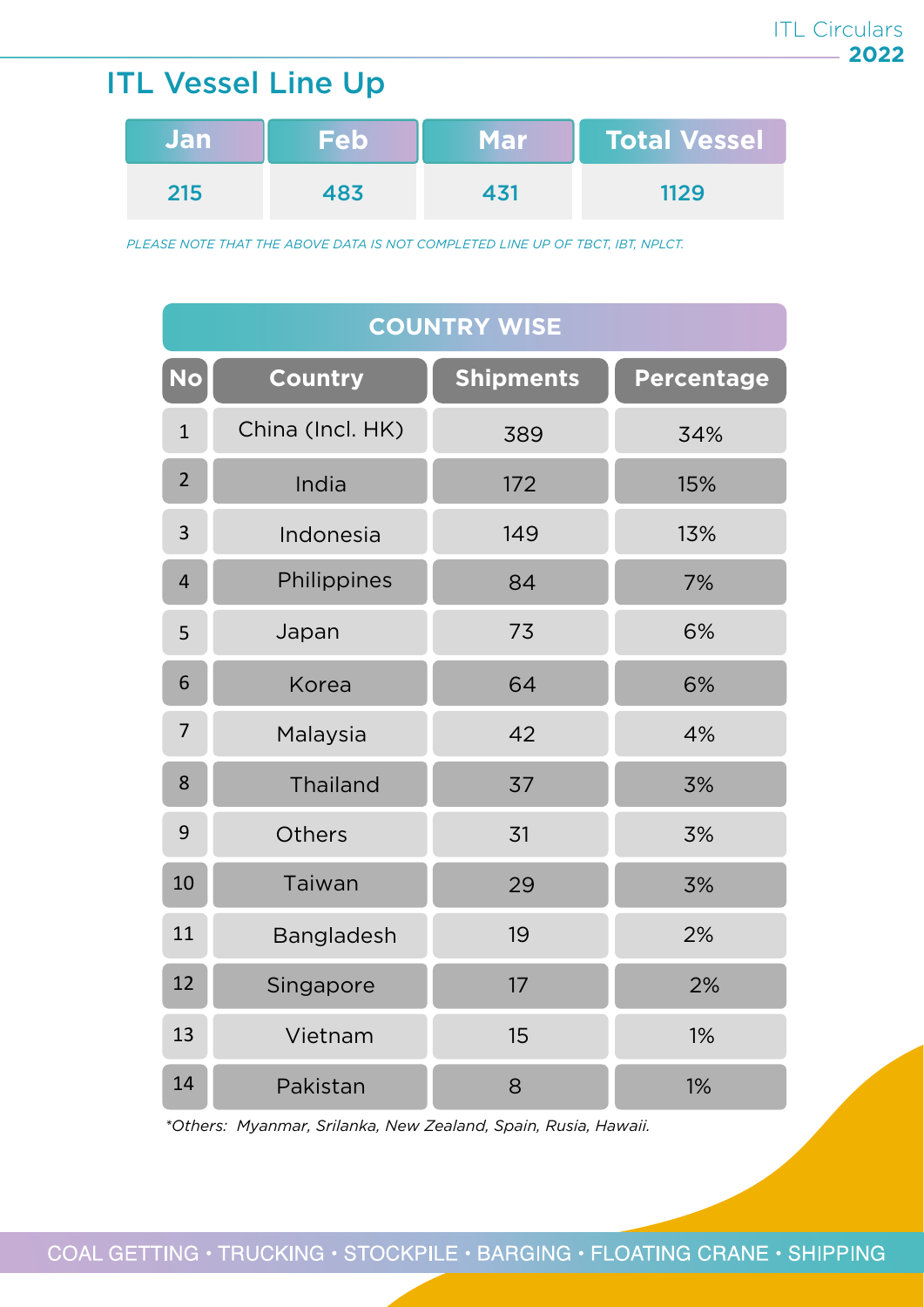### ITL Vessel Line Up

| <b>Jan</b> | <b>Feb</b> | <b>Mar</b> | <b>Total Vessel</b> |
|------------|------------|------------|---------------------|
| 215        | 483        | 131        | 1129                |

*PLEASE NOTE THAT THE ABOVE DATA IS NOT COMPLETED LINE UP OF TBCT, IBT, NPLCT.*

| <b>COUNTRY WISE</b> |                  |                  |                   |  |
|---------------------|------------------|------------------|-------------------|--|
| <b>No</b>           | <b>Country</b>   | <b>Shipments</b> | <b>Percentage</b> |  |
| $\mathbf{1}$        | China (Incl. HK) | 389              | 34%               |  |
| $\overline{2}$      | India            | 172              | 15%               |  |
| 3                   | Indonesia        | 149              | 13%               |  |
| $\overline{4}$      | Philippines      | 84               | 7%                |  |
| 5                   | Japan            | 73               | 6%                |  |
| 6                   | Korea            | 64               | 6%                |  |
| $\overline{7}$      | Malaysia         | 42               | 4%                |  |
| 8                   | Thailand         | 37               | 3%                |  |
| 9                   | <b>Others</b>    | 31               | 3%                |  |
| 10                  | Taiwan           | 29               | 3%                |  |
| 11                  | Bangladesh       | 19               | 2%                |  |
| 12                  | Singapore        | 17               | 2%                |  |
| 13                  | Vietnam          | 15               | 1%                |  |
| 14                  | Pakistan         | 8                | 1%                |  |

*\*Others: Myanmar, Srilanka, New Zealand, Spain, Rusia, Hawaii.*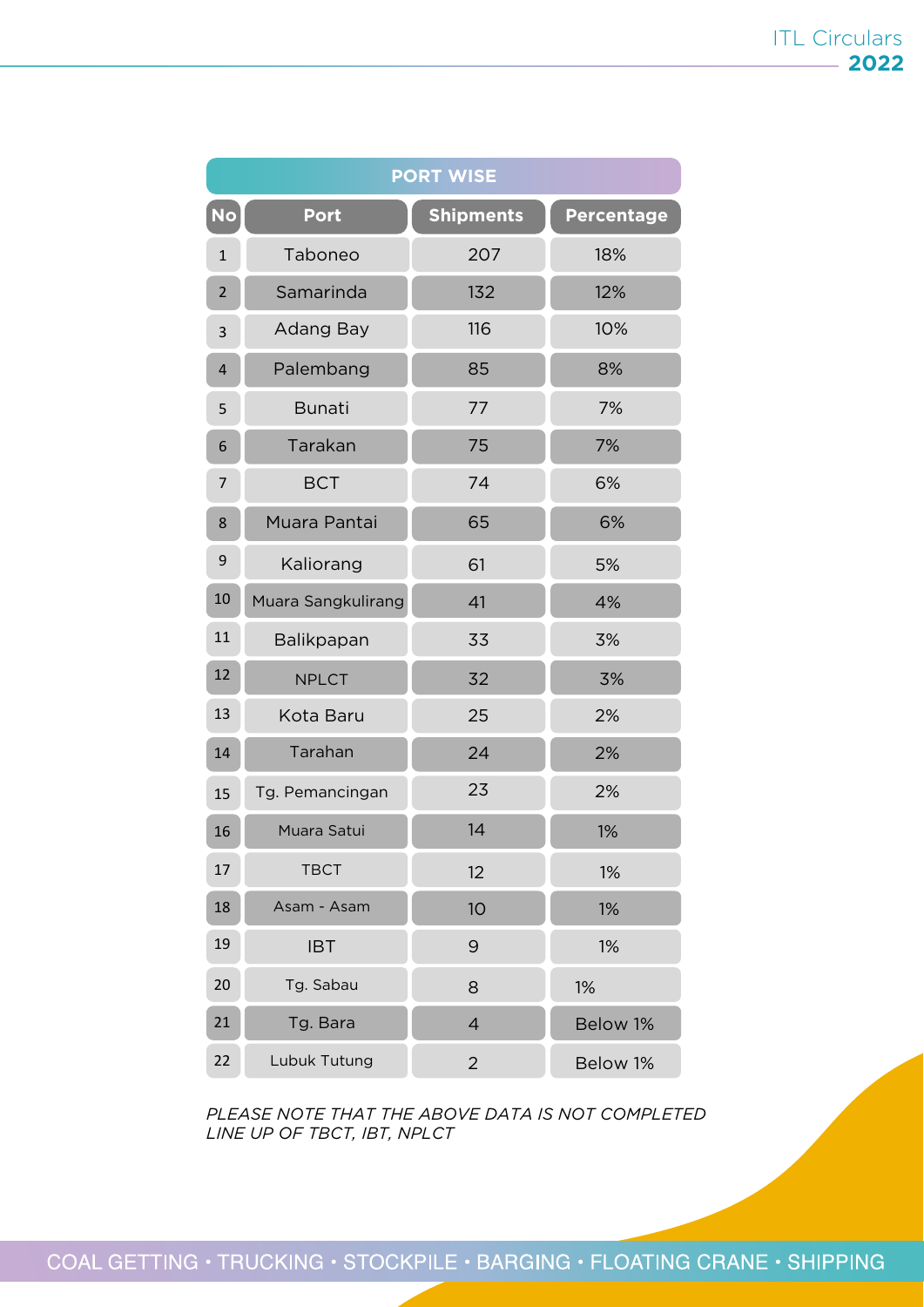| <b>PORT WISE</b> |                    |                  |                   |  |
|------------------|--------------------|------------------|-------------------|--|
| <b>No</b>        | <b>Port</b>        | <b>Shipments</b> | <b>Percentage</b> |  |
| $\mathbf{1}$     | Taboneo            | 207              | 18%               |  |
| $\overline{2}$   | Samarinda          | 132              | 12%               |  |
| 3                | Adang Bay          | 116              | 10%               |  |
| 4                | Palembang          | 85               | 8%                |  |
| 5                | <b>Bunati</b>      | 77               | 7%                |  |
| 6                | Tarakan            | 75               | 7%                |  |
| 7                | <b>BCT</b>         | 74               | 6%                |  |
| 8                | Muara Pantai       | 65               | 6%                |  |
| 9                | Kaliorang          | 61               | 5%                |  |
| 10               | Muara Sangkulirang | 41               | 4%                |  |
| 11               | Balikpapan         | 33               | 3%                |  |
| 12               | <b>NPLCT</b>       | 32               | 3%                |  |
| 13               | Kota Baru          | 25               | 2%                |  |
| 14               | Tarahan            | 24               | 2%                |  |
| 15               | Tg. Pemancingan    | 23               | 2%                |  |
| 16               | Muara Satui        | 14               | 1%                |  |
| 17               | <b>TBCT</b>        | 12               | 1%                |  |
| 18               | Asam - Asam        | 10               | 1%                |  |
| 19               | <b>IBT</b>         | 9                | 1%                |  |
| 20               | Tg. Sabau          | 8                | 1%                |  |
| 21               | Tg. Bara           | $\overline{4}$   | Below 1%          |  |
| 22               | Lubuk Tutung       | $\overline{2}$   | Below 1%          |  |

*PLEASE NOTE THAT THE ABOVE DATA IS NOT COMPLETED LINE UP OF TBCT, IBT, NPLCT*